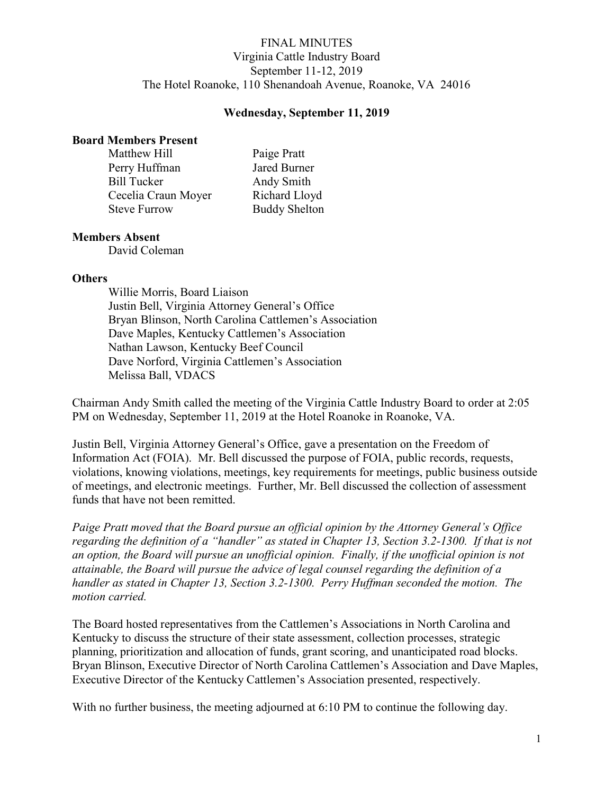# FINAL MINUTES Virginia Cattle Industry Board September 11-12, 2019 The Hotel Roanoke, 110 Shenandoah Avenue, Roanoke, VA 24016

## Wednesday, September 11, 2019

#### Board Members Present

| Matthew Hill        | Paige Pratt          |
|---------------------|----------------------|
| Perry Huffman       | Jared Burner         |
| <b>Bill Tucker</b>  | Andy Smith           |
| Cecelia Craun Moyer | Richard Lloyd        |
| <b>Steve Furrow</b> | <b>Buddy Shelton</b> |

### Members Absent

David Coleman

### **Others**

Willie Morris, Board Liaison Justin Bell, Virginia Attorney General's Office Bryan Blinson, North Carolina Cattlemen's Association Dave Maples, Kentucky Cattlemen's Association Nathan Lawson, Kentucky Beef Council Dave Norford, Virginia Cattlemen's Association Melissa Ball, VDACS

Chairman Andy Smith called the meeting of the Virginia Cattle Industry Board to order at 2:05 PM on Wednesday, September 11, 2019 at the Hotel Roanoke in Roanoke, VA.

Justin Bell, Virginia Attorney General's Office, gave a presentation on the Freedom of Information Act (FOIA). Mr. Bell discussed the purpose of FOIA, public records, requests, violations, knowing violations, meetings, key requirements for meetings, public business outside of meetings, and electronic meetings. Further, Mr. Bell discussed the collection of assessment funds that have not been remitted.

Paige Pratt moved that the Board pursue an official opinion by the Attorney General's Office regarding the definition of a "handler" as stated in Chapter 13, Section 3.2-1300. If that is not an option, the Board will pursue an unofficial opinion. Finally, if the unofficial opinion is not attainable, the Board will pursue the advice of legal counsel regarding the definition of a handler as stated in Chapter 13, Section 3.2-1300. Perry Huffman seconded the motion. The motion carried.

The Board hosted representatives from the Cattlemen's Associations in North Carolina and Kentucky to discuss the structure of their state assessment, collection processes, strategic planning, prioritization and allocation of funds, grant scoring, and unanticipated road blocks. Bryan Blinson, Executive Director of North Carolina Cattlemen's Association and Dave Maples, Executive Director of the Kentucky Cattlemen's Association presented, respectively.

With no further business, the meeting adjourned at 6:10 PM to continue the following day.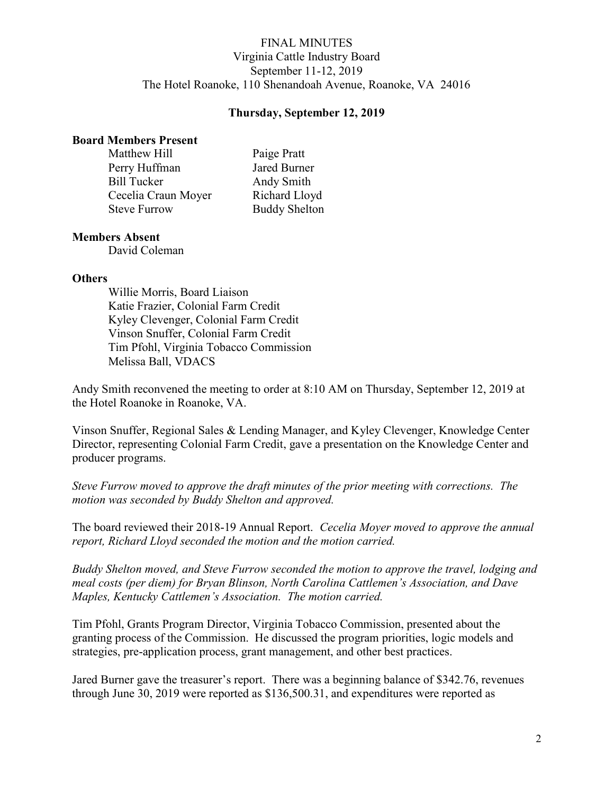# FINAL MINUTES Virginia Cattle Industry Board September 11-12, 2019 The Hotel Roanoke, 110 Shenandoah Avenue, Roanoke, VA 24016

## Thursday, September 12, 2019

#### Board Members Present

| Matthew Hill        | Paige Pratt          |
|---------------------|----------------------|
| Perry Huffman       | Jared Burner         |
| <b>Bill Tucker</b>  | Andy Smith           |
| Cecelia Craun Moyer | Richard Lloyd        |
| <b>Steve Furrow</b> | <b>Buddy Shelton</b> |

### Members Absent

David Coleman

#### **Others**

Willie Morris, Board Liaison Katie Frazier, Colonial Farm Credit Kyley Clevenger, Colonial Farm Credit Vinson Snuffer, Colonial Farm Credit Tim Pfohl, Virginia Tobacco Commission Melissa Ball, VDACS

Andy Smith reconvened the meeting to order at 8:10 AM on Thursday, September 12, 2019 at the Hotel Roanoke in Roanoke, VA.

Vinson Snuffer, Regional Sales & Lending Manager, and Kyley Clevenger, Knowledge Center Director, representing Colonial Farm Credit, gave a presentation on the Knowledge Center and producer programs.

Steve Furrow moved to approve the draft minutes of the prior meeting with corrections. The motion was seconded by Buddy Shelton and approved.

The board reviewed their 2018-19 Annual Report. Cecelia Moyer moved to approve the annual report, Richard Lloyd seconded the motion and the motion carried.

Buddy Shelton moved, and Steve Furrow seconded the motion to approve the travel, lodging and meal costs (per diem) for Bryan Blinson, North Carolina Cattlemen's Association, and Dave Maples, Kentucky Cattlemen's Association. The motion carried.

Tim Pfohl, Grants Program Director, Virginia Tobacco Commission, presented about the granting process of the Commission. He discussed the program priorities, logic models and strategies, pre-application process, grant management, and other best practices.

Jared Burner gave the treasurer's report. There was a beginning balance of \$342.76, revenues through June 30, 2019 were reported as \$136,500.31, and expenditures were reported as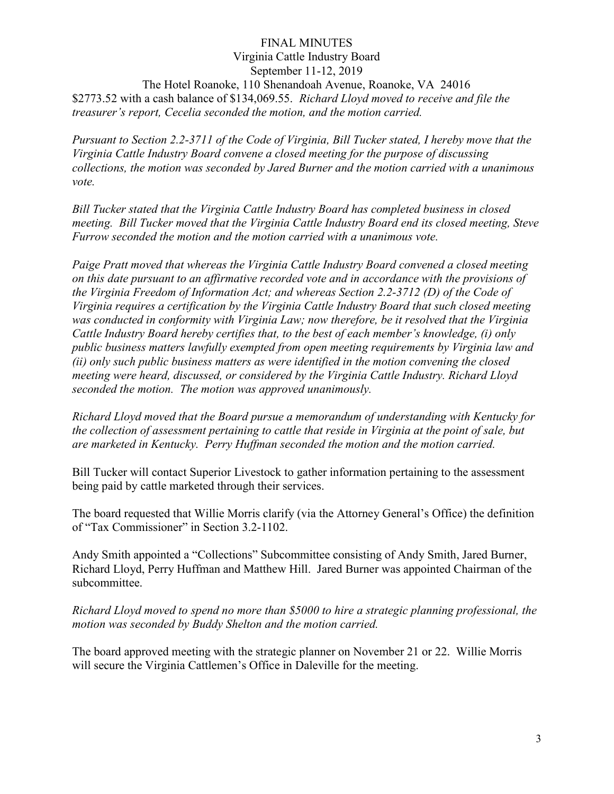## FINAL MINUTES Virginia Cattle Industry Board September 11-12, 2019 The Hotel Roanoke, 110 Shenandoah Avenue, Roanoke, VA 24016 \$2773.52 with a cash balance of \$134,069.55. Richard Lloyd moved to receive and file the treasurer's report, Cecelia seconded the motion, and the motion carried.

Pursuant to Section 2.2-3711 of the Code of Virginia, Bill Tucker stated, I hereby move that the Virginia Cattle Industry Board convene a closed meeting for the purpose of discussing collections, the motion was seconded by Jared Burner and the motion carried with a unanimous vote.

Bill Tucker stated that the Virginia Cattle Industry Board has completed business in closed meeting. Bill Tucker moved that the Virginia Cattle Industry Board end its closed meeting, Steve Furrow seconded the motion and the motion carried with a unanimous vote.

Paige Pratt moved that whereas the Virginia Cattle Industry Board convened a closed meeting on this date pursuant to an affirmative recorded vote and in accordance with the provisions of the Virginia Freedom of Information Act; and whereas Section 2.2-3712 (D) of the Code of Virginia requires a certification by the Virginia Cattle Industry Board that such closed meeting was conducted in conformity with Virginia Law; now therefore, be it resolved that the Virginia Cattle Industry Board hereby certifies that, to the best of each member's knowledge, (i) only public business matters lawfully exempted from open meeting requirements by Virginia law and (ii) only such public business matters as were identified in the motion convening the closed meeting were heard, discussed, or considered by the Virginia Cattle Industry. Richard Lloyd seconded the motion. The motion was approved unanimously.

Richard Lloyd moved that the Board pursue a memorandum of understanding with Kentucky for the collection of assessment pertaining to cattle that reside in Virginia at the point of sale, but are marketed in Kentucky. Perry Huffman seconded the motion and the motion carried.

Bill Tucker will contact Superior Livestock to gather information pertaining to the assessment being paid by cattle marketed through their services.

The board requested that Willie Morris clarify (via the Attorney General's Office) the definition of "Tax Commissioner" in Section 3.2-1102.

Andy Smith appointed a "Collections" Subcommittee consisting of Andy Smith, Jared Burner, Richard Lloyd, Perry Huffman and Matthew Hill. Jared Burner was appointed Chairman of the subcommittee.

Richard Lloyd moved to spend no more than \$5000 to hire a strategic planning professional, the motion was seconded by Buddy Shelton and the motion carried.

The board approved meeting with the strategic planner on November 21 or 22. Willie Morris will secure the Virginia Cattlemen's Office in Daleville for the meeting.